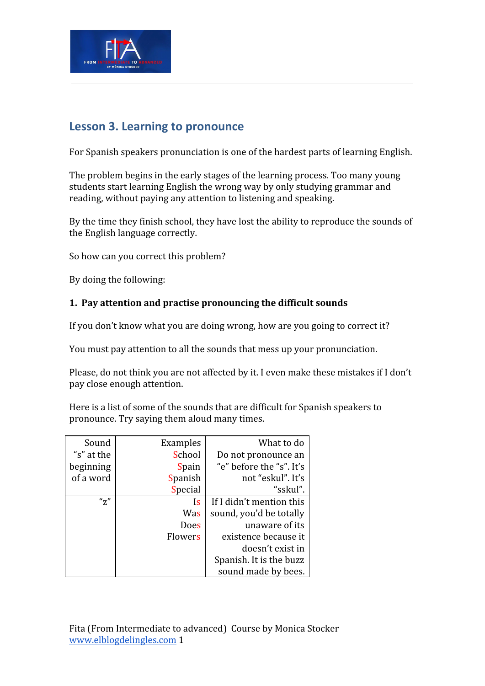

## **Lesson 3. Learning to pronounce**

For Spanish speakers pronunciation is one of the hardest parts of learning English.

The problem begins in the early stages of the learning process. Too many young students start learning English the wrong way by only studying grammar and reading, without paying any attention to listening and speaking.

By the time they finish school, they have lost the ability to reproduce the sounds of the English language correctly.

So how can you correct this problem?

By doing the following:

## **1. Pay attention and practise pronouncing the difficult sounds**

If you don't know what you are doing wrong, how are you going to correct it?

You must pay attention to all the sounds that mess up your pronunciation.

Please, do not think you are not affected by it. I even make these mistakes if I don't pay close enough attention.

Here is a list of some of the sounds that are difficult for Spanish speakers to pronounce. Try saying them aloud many times.

| Sound                | Examples     | What to do               |
|----------------------|--------------|--------------------------|
| "s" at the           | School       | Do not pronounce an      |
| beginning            | <b>Spain</b> | "e" before the "s". It's |
| of a word            | Spanish      | not "eskul". It's        |
|                      | Special      | "sskul".                 |
| $^{\prime\prime}$ z" | Is           | If I didn't mention this |
|                      | Was          | sound, you'd be totally  |
|                      | Does         | unaware of its           |
|                      | Flowers      | existence because it     |
|                      |              | doesn't exist in         |
|                      |              | Spanish. It is the buzz  |
|                      |              | sound made by bees.      |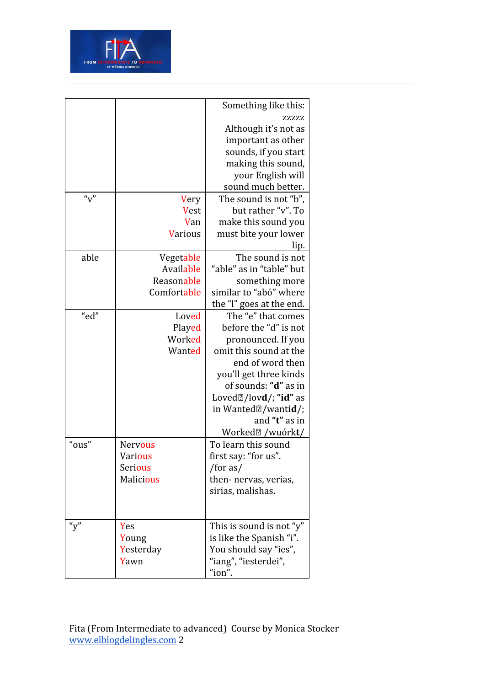

|       |                | Something like this:                        |
|-------|----------------|---------------------------------------------|
|       |                | ZZZZZ                                       |
|       |                | Although it's not as                        |
|       |                | important as other                          |
|       |                | sounds, if you start                        |
|       |                | making this sound,                          |
|       |                | your English will                           |
|       |                | sound much better.                          |
| "v"   | Very           | The sound is not "b".                       |
|       | <b>Vest</b>    | but rather "v". To                          |
|       | Van            | make this sound you                         |
|       | <b>Various</b> | must bite your lower                        |
|       |                | lip.                                        |
| able  | Vegetable      | The sound is not                            |
|       | Available      | "able" as in "table" but                    |
|       | Reasonable     | something more                              |
|       | Comfortable    | similar to "abó" where                      |
|       |                | the "l" goes at the end.                    |
| "ed"  | Loved          | The "e" that comes                          |
|       | Played         | before the "d" is not                       |
|       | Worked         | pronounced. If you                          |
|       | Wanted         | omit this sound at the                      |
|       |                | end of word then                            |
|       |                | you'll get three kinds                      |
|       |                | of sounds: " <b>d</b> " as in               |
|       |                | Loved $\mathbb{Z}/\text{lovd}/$ ; "id" as   |
|       |                | in Wanted <sup>[2]</sup> /wanti <b>d</b> /; |
|       |                | and "t" as in                               |
|       |                | Worked <sup>[2]</sup> /wuórkt/              |
| "ous" | <b>Nervous</b> | To learn this sound                         |
|       | Various        | first say: "for us".                        |
|       | <b>Serious</b> | /for as/                                    |
|       | Malicious      | then- nervas, verias,                       |
|       |                | sirias, malishas.                           |
|       |                |                                             |
|       |                |                                             |
| "y"   | Yes            | This is sound is not "y"                    |
|       | Young          | is like the Spanish "i".                    |
|       | Yesterday      | You should say "ies",                       |
|       | Yawn           | "iang", "iesterdei",                        |
|       |                | "ion".                                      |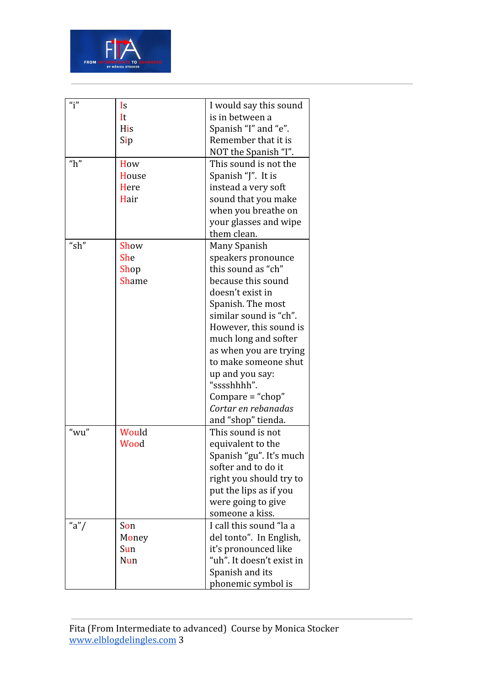

| $\mathbf{u}_{\mathbf{i}}$ " | Is           | I would say this sound    |
|-----------------------------|--------------|---------------------------|
|                             | It           | is in between a           |
|                             | <b>His</b>   | Spanish "I" and "e".      |
|                             | Sip          | Remember that it is       |
|                             |              | NOT the Spanish "I".      |
| " $h$ "                     | How          | This sound is not the     |
|                             | House        | Spanish "J". It is        |
|                             | Here         | instead a very soft       |
|                             | Hair         | sound that you make       |
|                             |              | when you breathe on       |
|                             |              | your glasses and wipe     |
|                             |              | them clean.               |
| "sh"                        | Show         | Many Spanish              |
|                             | <b>She</b>   | speakers pronounce        |
|                             | Shop         | this sound as "ch"        |
|                             | <b>Shame</b> | because this sound        |
|                             |              | doesn't exist in          |
|                             |              | Spanish. The most         |
|                             |              | similar sound is "ch".    |
|                             |              | However, this sound is    |
|                             |              | much long and softer      |
|                             |              | as when you are trying    |
|                             |              | to make someone shut      |
|                             |              | up and you say:           |
|                             |              | "sssshhhh".               |
|                             |              | Compare = "chop"          |
|                             |              | Cortar en rebanadas       |
|                             |              | and "shop" tienda.        |
| "wu"                        | Would        | This sound is not         |
|                             | Wood         | equivalent to the         |
|                             |              | Spanish "gu". It's much   |
|                             |              | softer and to do it       |
|                             |              | right you should try to   |
|                             |              | put the lips as if you    |
|                             |              | were going to give        |
|                             |              | someone a kiss.           |
| "a"/                        | Son          | I call this sound "la a   |
|                             | Money        | del tonto". In English,   |
|                             | Sun          | it's pronounced like      |
|                             | Nun          | "uh". It doesn't exist in |
|                             |              | Spanish and its           |
|                             |              |                           |
|                             |              | phonemic symbol is        |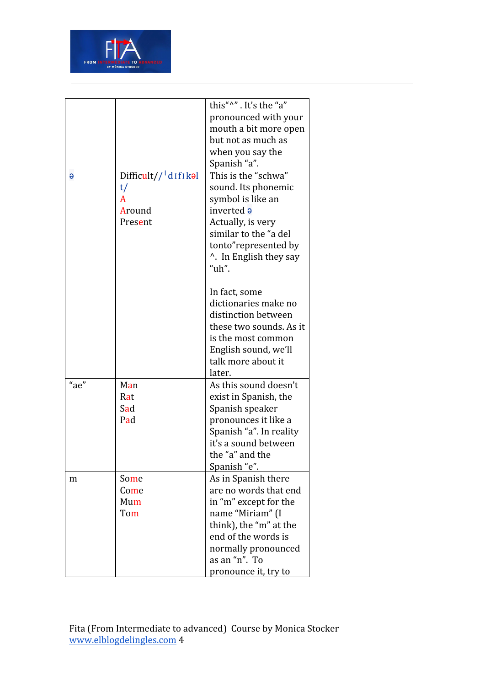

|          |                                                   | this"^". It's the "a"              |
|----------|---------------------------------------------------|------------------------------------|
|          |                                                   | pronounced with your               |
|          |                                                   | mouth a bit more open              |
|          |                                                   | but not as much as                 |
|          |                                                   |                                    |
|          |                                                   | when you say the                   |
|          |                                                   | Spanish "a".                       |
| $\Theta$ | $Difficult//$ <sup><math>\frac{1}{d}</math></sup> | This is the "schwa"                |
|          | t/                                                | sound. Its phonemic                |
|          | A                                                 | symbol is like an                  |
|          | Around                                            | inverted a                         |
|          | Present                                           | Actually, is very                  |
|          |                                                   | similar to the "a del              |
|          |                                                   | tonto"represented by               |
|          |                                                   | <sup>1</sup> . In English they say |
|          |                                                   | " $uh$ ".                          |
|          |                                                   |                                    |
|          |                                                   | In fact, some                      |
|          |                                                   | dictionaries make no               |
|          |                                                   | distinction between                |
|          |                                                   | these two sounds. As it            |
|          |                                                   | is the most common                 |
|          |                                                   | English sound, we'll               |
|          |                                                   | talk more about it                 |
|          |                                                   | later.                             |
| "ae"     | Man                                               | As this sound doesn't              |
|          | Rat                                               | exist in Spanish, the              |
|          | Sad                                               | Spanish speaker                    |
|          | Pad                                               | pronounces it like a               |
|          |                                                   | Spanish "a". In reality            |
|          |                                                   | it's a sound between               |
|          |                                                   | the "a" and the                    |
|          |                                                   | Spanish "e".                       |
| m        | Some                                              | As in Spanish there                |
|          | Come                                              | are no words that end              |
|          | Mum                                               | in "m" except for the              |
|          | Tom                                               | name "Miriam" (I                   |
|          |                                                   | think), the "m" at the             |
|          |                                                   | end of the words is                |
|          |                                                   | normally pronounced                |
|          |                                                   | as an "n". To                      |
|          |                                                   |                                    |
|          |                                                   | pronounce it, try to               |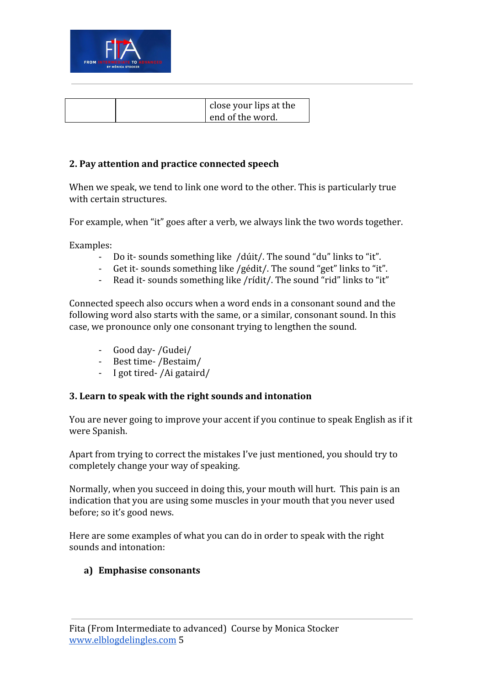

| close your lips at the |
|------------------------|
| end of the word.       |

#### **2. Pay attention and practice connected speech**

When we speak, we tend to link one word to the other. This is particularly true with certain structures.

For example, when "it" goes after a verb, we always link the two words together.

Examples:

- Do it-sounds something like /dúit/. The sound "du" links to "it".
- Get it- sounds something like /gédit/. The sound "get" links to "it".
- Read it- sounds something like /rídit/. The sound "rid" links to "it"

Connected speech also occurs when a word ends in a consonant sound and the following word also starts with the same, or a similar, consonant sound. In this case, we pronounce only one consonant trying to lengthen the sound.

- Good day- /Gudei/
- Best time- /Bestaim/
- I got tired- /Ai gataird/

#### **3. Learn to speak with the right sounds and intonation**

You are never going to improve your accent if you continue to speak English as if it were Spanish.

Apart from trying to correct the mistakes I've just mentioned, you should try to completely change your way of speaking.

Normally, when you succeed in doing this, your mouth will hurt. This pain is an indication that you are using some muscles in your mouth that you never used before; so it's good news.

Here are some examples of what you can do in order to speak with the right sounds and intonation:

#### **a) Emphasise consonants**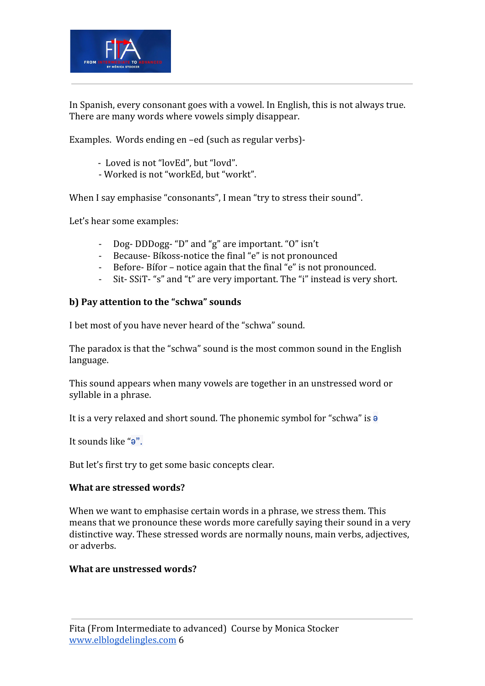

In Spanish, every consonant goes with a vowel. In English, this is not always true. There are many words where vowels simply disappear.

Examples. Words ending en –ed (such as regular verbs)-

- Loved is not "lovEd", but "lovd".
- Worked is not "workEd, but "workt".

When I say emphasise "consonants", I mean "try to stress their sound".

Let's hear some examples:

- Dog- DDDogg- "D" and "g" are important. "O" isn't
- Because- Bíkoss-notice the final "e" is not pronounced
- Before- Bífor notice again that the final "e" is not pronounced.
- Sit- SSiT- "s" and "t" are very important. The "i" instead is very short.

## **b) Pay attention to the "schwa" sounds**

I bet most of you have never heard of the "schwa" sound.

The paradox is that the "schwa" sound is the most common sound in the English language.

This sound appears when many vowels are together in an unstressed word or syllable in a phrase.

It is a very relaxed and short sound. The phonemic symbol for "schwa" is ə

It sounds like "ə".

But let's first try to get some basic concepts clear.

#### **What are stressed words?**

When we want to emphasise certain words in a phrase, we stress them. This means that we pronounce these words more carefully saying their sound in a very distinctive way. These stressed words are normally nouns, main verbs, adjectives, or adverbs.

#### **What are unstressed words?**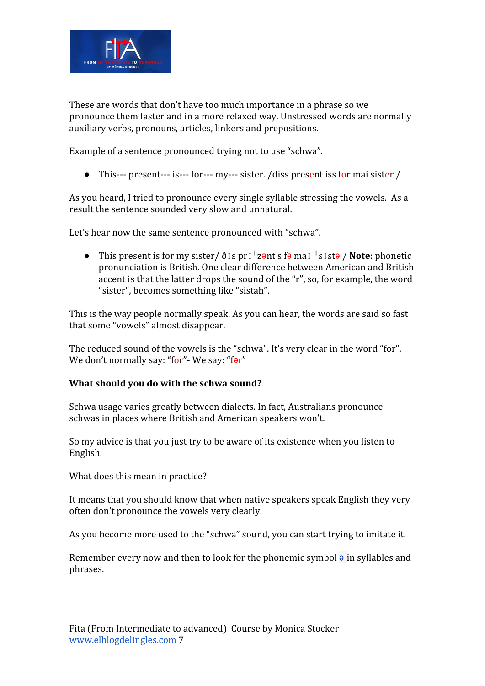

These are words that don't have too much importance in a phrase so we pronounce them faster and in a more relaxed way. Unstressed words are normally auxiliary verbs, pronouns, articles, linkers and prepositions.

Example of a sentence pronounced trying not to use "schwa".

• This--- present--- is--- for--- my--- sister. /díss present iss for mai sister /

As you heard, I tried to pronounce every single syllable stressing the vowels. As a result the sentence sounded very slow and unnatural.

Let's hear now the same sentence pronounced with "schwa".

● This present is for my sister/ ðɪs prɪˈzənt s fə maɪ ˈsɪstə / **Note**: phonetic pronunciation is British. One clear difference between American and British accent is that the latter drops the sound of the "r", so, for example, the word "sister", becomes something like "sistah".

This is the way people normally speak. As you can hear, the words are said so fast that some "vowels" almost disappear.

The reduced sound of the vowels is the "schwa". It's very clear in the word "for". We don't normally say: "for" - We say: "far"

#### **What should you do with the schwa sound?**

Schwa usage varies greatly between dialects. In fact, Australians pronounce schwas in places where British and American speakers won't.

So my advice is that you just try to be aware of its existence when you listen to English.

What does this mean in practice?

It means that you should know that when native speakers speak English they very often don't pronounce the vowels very clearly.

As you become more used to the "schwa" sound, you can start trying to imitate it.

Remember every now and then to look for the phonemic symbol  $\theta$  in syllables and phrases.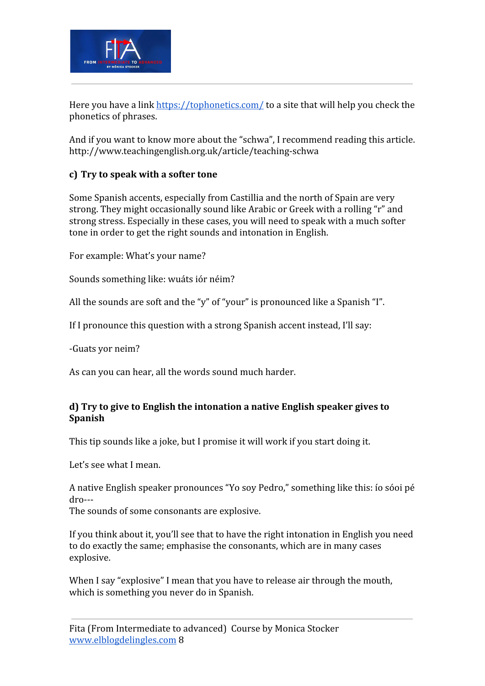

Here you have a link<https://tophonetics.com/> to a site that will help you check the phonetics of phrases.

And if you want to know more about the "schwa", I recommend reading this article. http://www.teachingenglish.org.uk/article/teaching-schwa

## **c) Try to speak with a softer tone**

Some Spanish accents, especially from Castillia and the north of Spain are very strong. They might occasionally sound like Arabic or Greek with a rolling "r" and strong stress. Especially in these cases, you will need to speak with a much softer tone in order to get the right sounds and intonation in English.

For example: What's your name?

Sounds something like: wuáts iór néim?

All the sounds are soft and the "y" of "your" is pronounced like a Spanish "I".

If I pronounce this question with a strong Spanish accent instead, I'll say:

-Guats yor neim?

As can you can hear, all the words sound much harder.

## **d) Try to give to English the intonation a native English speaker gives to Spanish**

This tip sounds like a joke, but I promise it will work if you start doing it.

Let's see what I mean.

A native English speaker pronounces "Yo soy Pedro," something like this: ío sóoi pé dro---

The sounds of some consonants are explosive.

If you think about it, you'll see that to have the right intonation in English you need to do exactly the same; emphasise the consonants, which are in many cases explosive.

When I say "explosive" I mean that you have to release air through the mouth, which is something you never do in Spanish.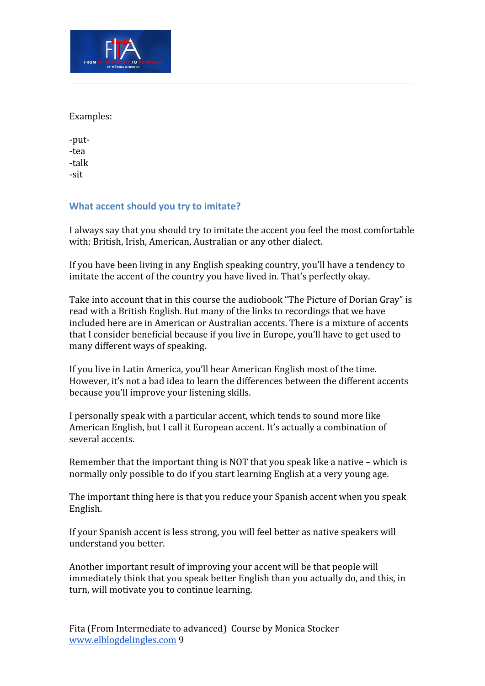

Examples:

-put- -tea -talk -sit

## **What accent should you try to imitate?**

I always say that you should try to imitate the accent you feel the most comfortable with: British, Irish, American, Australian or any other dialect.

If you have been living in any English speaking country, you'll have a tendency to imitate the accent of the country you have lived in. That's perfectly okay.

Take into account that in this course the audiobook "The Picture of Dorian Gray" is read with a British English. But many of the links to recordings that we have included here are in American or Australian accents. There is a mixture of accents that I consider beneficial because if you live in Europe, you'll have to get used to many different ways of speaking.

If you live in Latin America, you'll hear American English most of the time. However, it's not a bad idea to learn the differences between the different accents because you'll improve your listening skills.

I personally speak with a particular accent, which tends to sound more like American English, but I call it European accent. It's actually a combination of several accents.

Remember that the important thing is NOT that you speak like a native – which is normally only possible to do if you start learning English at a very young age.

The important thing here is that you reduce your Spanish accent when you speak English.

If your Spanish accent is less strong, you will feel better as native speakers will understand you better.

Another important result of improving your accent will be that people will immediately think that you speak better English than you actually do, and this, in turn, will motivate you to continue learning.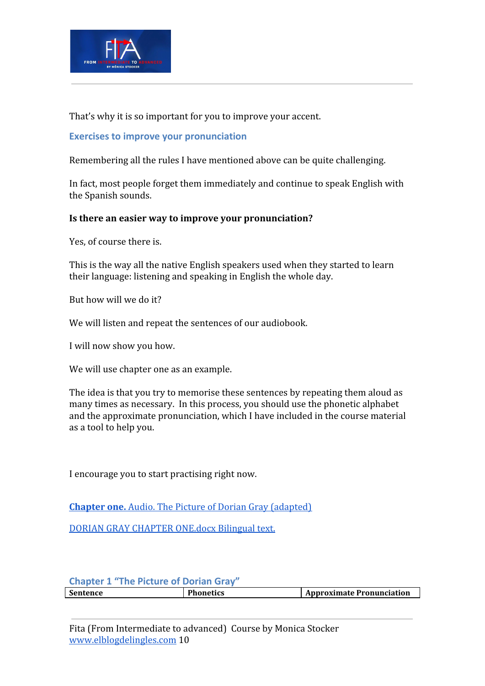

That's why it is so important for you to improve your accent.

#### **Exercises to improve your pronunciation**

Remembering all the rules I have mentioned above can be quite challenging.

In fact, most people forget them immediately and continue to speak English with the Spanish sounds.

#### **Is there an easier way to improve your pronunciation?**

Yes, of course there is.

This is the way all the native English speakers used when they started to learn their language: listening and speaking in English the whole day.

But how will we do it?

We will listen and repeat the sentences of our audiobook.

I will now show you how.

We will use chapter one as an example.

The idea is that you try to memorise these sentences by repeating them aloud as many times as necessary. In this process, you should use the phonetic alphabet and the approximate pronunciation, which I have included in the course material as a tool to help you.

I encourage you to start practising right now.

**[Chapter one.](https://traffic.libsyn.com/secure/monicats/Dorian_-_Cap_1.mp3)** [Audio. The Picture of Dorian Gray \(adapted\)](https://traffic.libsyn.com/secure/monicats/Dorian_-_Cap_1.mp3)

[DORIAN GRAY CHAPTER ONE.docx](https://blogdelingles.com/wp-content/uploads/2020/09/DORIAN-GRAY-CHAPTER-ONE.docx.pdf) Bilingual text.

## **Chapter 1 "The Picture of Dorian Gray" Sentence Phonetics Approximate Pronunciation**

Fita (From Intermediate to advanced) Course by Monica Stocker [www.elblogdelingles.com](http://www.elblogdelingles.com/) 10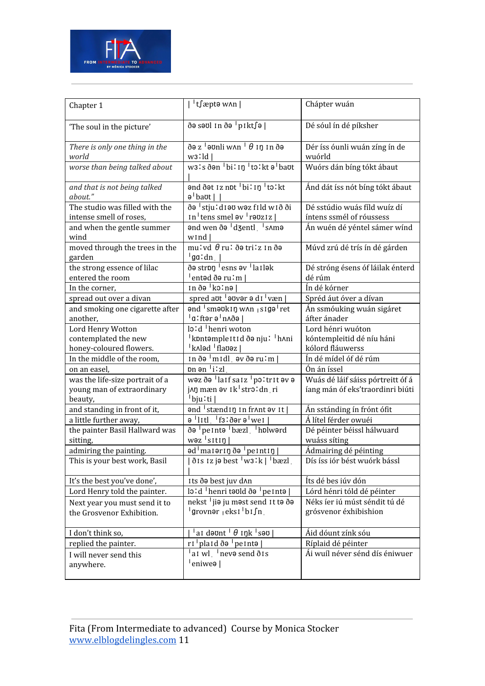

| Chapter 1                                | <sup> </sup> t∫æptə w∧n                                                    | Chápter wuán                      |
|------------------------------------------|----------------------------------------------------------------------------|-----------------------------------|
|                                          |                                                                            |                                   |
| 'The soul in the picture'                | ðə səʊl ɪn ðə <sup>i</sup> pɪkt∫ə                                          | Dé sóul ín dé píksher             |
| There is only one thing in the           | $\delta$ ə z $^{-1}$ əvnli w $\lambda$ n $^{-1}$ $\theta$ in in $\delta$ ə | Dér íss óunli wuán zíng ín de     |
| world                                    | w <sub>3</sub> :ld                                                         | wuórld                            |
| worse than being talked about            | w31s ðən bilin tolkt ə baut                                                | Wuórs dán bíng tókt ábaut         |
| and that is not being talked<br>about."  | and dat iz not bilin tolkt<br>$\theta$ baut                                | Ánd dát íss nót bíng tókt ábaut   |
| The studio was filled with the           | ðə <sup>1</sup> stju: d 1 əv w əz f 1 ld w 1 ð ði                          | Dé sstúdio wuás fíld wuíz dí      |
| intense smell of roses,                  | $\ln$ <sup>1</sup> tens smel $\theta$ v <sup>1</sup> r $\theta$ oziz       | íntens ssmél of róussess          |
| and when the gentle summer               | and wen ða <sup>1</sup> d3entl sama                                        | Án wuén dé yéntel sámer wínd      |
| wind                                     | wind                                                                       |                                   |
| moved through the trees in the<br>garden | $\overline{mu!}$ vd $\theta$ ru! ðə tri!z In ðə<br>'gaːdn                  | Múvd zrú dé trís ín dé gárden     |
| the strong essence of lilac              | de stron lesns ev lailek                                                   | Dé stróng ésens óf láilak énterd  |
| entered the room                         | $\vert$ entəd ðə ruːm $\vert$                                              | dé rúm                            |
| In the corner,                           | In ðə <sup>1</sup> kolnə                                                   | Ín dé kórner                      |
| spread out over a divan                  | spred aut <sup>1</sup> auver a di <sup>1</sup> væn                         | Spréd áut óver a dívan            |
| and smoking one cigarette after          | and smaukin w^n siga ret                                                   | Án ssmóuking wuán sigáret         |
| another.                                 | 'a∶ftər ə'n∧ðə                                                             | áfter ánader                      |
| Lord Henry Wotton                        | lo:d henri woton                                                           | Lord hénri wuóton                 |
| contemplated the new                     | <sup> </sup> kontəmple It I d ðə nju : <sup> </sup> h^ni                   | kóntempleitid dé níu háni         |
| honey-coloured flowers.                  | k^ləd flavəz                                                               | kólord fláuwerss                  |
| In the middle of the room,               | $\ln \delta$ ə $\ln \delta$ ldl əv $\delta$ ə ru $\ln  \delta $            | Ín dé mídel óf dé rúm             |
| on an easel,                             | $\mathsf{p}_1$ and $\mathsf{p}_2$ is in all $\mathsf{p}_3$                 | Ón án íssel                       |
| was the life-size portrait of a          | wəz ðə laif saiz <sup>1</sup> poltrit əv ə                                 | Wuás dé láif sáiss pórtreitt óf á |
| young man of extraordinary               | j∧ŋ mæn əv ɪk <sup> </sup> stroːdnˌri                                      | íang mán óf eks'traordinri biúti  |
| beauty,                                  | †bju∶ti                                                                    |                                   |
| and standing in front of it,             | and stændig in frant av it                                                 | Án sstánding ín frónt ófit        |
| a little further away,                   | a litl fs:dara wei                                                         | Á lítel férder owuéi              |
| the painter Basil Hallward was           | ðə <sup>1</sup> pe Intə <sup>1</sup> bæzl th blward                        | Dé péinter béissl hálwuard        |
| sitting,                                 | $w$ əz $\frac{1}{2}$ sitin $\frac{1}{2}$                                   | wuáss síting                      |
| admiring the painting.                   | ad <sup>1</sup> maiorin do <sup>1</sup> peintin                            | Ádmairing dé péinting             |
| This is your best work, Basil            | $\delta$ is 1z jə best $\lceil w_3 \rceil k \rceil$ bæzl                   | Dís íss iór bést wuórk bássl      |
|                                          |                                                                            |                                   |
| It's the best you've done',              | Its ðə best juv d^n                                                        | Íts dé bes iúv dón                |
| Lord Henry told the painter.             | $\log d$ henri təvid ðə $\log d$                                           | Lórd hénri tóld dé péinter        |
| Next year you must send it to            | nekst <sup>l</sup> jia ju mast send It ta ða                               | Néks íer iú múst séndit tú dé     |
| the Grosvenor Exhibition.                | <sup>∣</sup> grovnər <sub>l</sub> eksi <sup> </sup> bı∫n j                 | grósvenor éxhibishion             |
| I don't think so,                        | <sup> </sup> aɪdəʊnt <sup> </sup> θ ɪŋk <sup> </sup> səʊ                   | Áid dóunt zínk sóu                |
| replied the painter.                     | $ri$ plaid $\delta$ ə <sup>1</sup> peintə                                  | Ríplaid dé péinter                |
| I will never send this                   | at wl $\frac{1}{2}$ neve send $\delta$ is                                  | Ái wuíl néver sénd dís éniwuer    |
| anywhere.                                | eniwea                                                                     |                                   |
|                                          |                                                                            |                                   |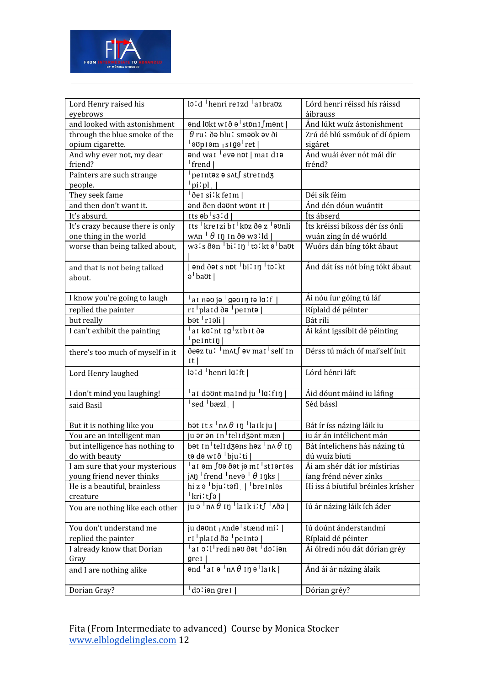

| Lord Henry raised his                             | $\log d$ henri re1zd a1braoz                                                                     | Lórd henri réissd hís ráissd             |
|---------------------------------------------------|--------------------------------------------------------------------------------------------------|------------------------------------------|
| eyebrows<br>and looked with astonishment          |                                                                                                  | áibrauss                                 |
|                                                   | ənd lukt wið ə <sup>1</sup> stnni∫mənt  <br>$\theta$ ru! ðə blu! sməʊk əv ði                     | Ánd lúkt wuíz ástonishment               |
| through the blue smoke of the<br>opium cigarette. | aʊpɪəmˌsɪgəˈret                                                                                  | Zrú dé blú ssmóuk of dí ópiem<br>sigáret |
| And why ever not, my dear                         | and wai eva not   mai dia                                                                        | Ánd wuái éver nót mái dír                |
| friend?                                           | <sup> </sup> frend                                                                               | frénd?                                   |
| Painters are such strange                         | <sup>1</sup> pe Intəz ə s^t∫ stre Ind3                                                           |                                          |
| people.                                           | $ $ pi'pl                                                                                        |                                          |
| They seek fame                                    | <sup>∣</sup> ðe I si ' k fe I m                                                                  | Déi sík féim                             |
| and then don't want it.                           | and den daunt wont It                                                                            | Ánd dén dóun wuántit                     |
| It's absurd.                                      | $its$ ab $ ss'd $                                                                                | Íts ábserd                               |
| It's crazy because there is only                  | Its kreizi bi koz də z vonli                                                                     | Íts kréissi bíkoss dér íss ónli          |
| one thing in the world                            | $w \wedge n$ <sup><math>\theta</math></sup> iŋ in ðə wɜːld                                       | wuán zíng ín dé wuórld                   |
| worse than being talked about,                    | w3:s ðən bi: 1ŋ to: kt ə baut                                                                    | Wuórs dán bíng tókt ábaut                |
| and that is not being talked                      | and dats not <sup>1</sup> bilin <sup>1</sup> tolkt                                               | Ánd dát íss nót bíng tókt ábaut          |
| about.                                            | a baut                                                                                           |                                          |
| I know you're going to laugh                      | <u>'ai nəvjə <sup>i</sup>gəvin tə la:f  </u>                                                     | Ái nóu íur góing tú láf                  |
| replied the painter                               | $\lceil r l \rceil$ plaid ðə <sup>1</sup> peintə                                                 | Ríplaid dé péinter                       |
| but really                                        | $b$ ət $\vert$ rı əli $\vert$                                                                    | Bát ríli                                 |
| I can't exhibit the painting                      | ai kaint ig zibit də<br>$ $ peintin                                                              | Ái kánt igssíbit dé péinting             |
| there's too much of myself in it                  | ðeəz tuː <sup> </sup> m∧t∫ əv mai <sup> </sup> self in<br>It                                     | Dérss tú mách óf mai'self ínit           |
| Lord Henry laughed                                | $\vert$ lo:d   henri la:ft                                                                       | Lórd hénri láft                          |
| I don't mind you laughing!                        | at devnt maind ju $ $ ld: fin                                                                    | Áid dóunt máind iu láfing                |
| said Basil                                        | sed bæzl                                                                                         | Séd bássl                                |
|                                                   |                                                                                                  |                                          |
| But it is nothing like you                        | bət Its $\ln 4$ In $\ln  \ln  \mathbf{u} $                                                       | Bát ír íss názing láik iu                |
| You are an intelligent man                        | ju ər ən In telid <del>zənt mæn</del>                                                            | iu ár án intélichent mán                 |
| but intelligence has nothing to                   | bət in telidzəns həz $\ln \theta$ in                                                             | Bát íntelichens hás názing tú            |
| do with beauty                                    | tə də wið <sup>1</sup> bju : ti                                                                  | dú wuíz bíuti                            |
| I am sure that your mysterious                    | ai əm fuə ðət jə mi <sup>1</sup> stiəriəs                                                        | Ái am shér dát íor místirias             |
| young friend never thinks                         | $j$ An $\frac{1}{2}$ frend $\frac{1}{2}$ nevə $\frac{1}{2}$ inks                                 | íang frénd néver zínks                   |
| He is a beautiful, brainless                      | hi z $\theta$ $\vert$ bju: t $\theta$ fl $\vert$ $\vert$ $\vert$ bre inles                       | Hí iss á bíutiful bréinles krísher       |
| creature                                          | ∣kri∶t∫ə∣                                                                                        |                                          |
| You are nothing like each other                   | ju $\theta$ <sup>l</sup> n $\wedge$ $\theta$ in $\theta$ <sup>l</sup> laikits $\frac{1}{\theta}$ | Iú ár názing láik ích áder               |
| You don't understand me                           | ju dəʊnt <sub> </sub> Andə <sup> </sup> stænd miː                                                | Iú doúnt ánderstandmí                    |
| replied the painter                               | $\lceil r l \rceil$ plaid ðə $\lceil r l \rceil$ peintə                                          | Ríplaid dé péinter                       |
| I already know that Dorian                        | ai oll <sup>1</sup> redi nəv ðət <sup>1</sup> doliən                                             | Ái ólredi nóu dát dórian gréy            |
| Gray                                              | gre1                                                                                             |                                          |
| and I are nothing alike                           | $\theta$ nd $\theta$ ai $\theta$ $\theta$ in $\theta$ in $\theta$ aik                            | Ánd ái ár názing álaik                   |
| Dorian Gray?                                      | do:iə <u>n gret</u>                                                                              | Dórian gréy?                             |
|                                                   |                                                                                                  |                                          |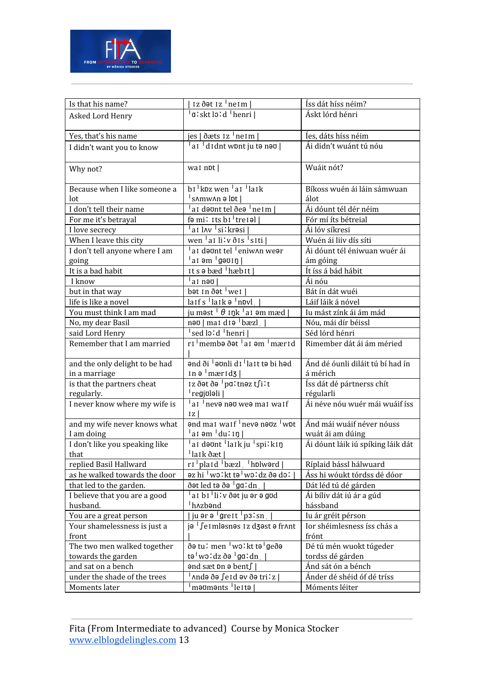

| Is that his name?              | $iz$ dot $iz$ $'$ ne $Im$ $ $                                         | Íss dát híss néim?                |
|--------------------------------|-----------------------------------------------------------------------|-----------------------------------|
| Asked Lord Henry               | a:skt lo:d 'henri                                                     | Áskt lórd hénri                   |
|                                |                                                                       |                                   |
| Yes, that's his name           | jes   ðæts 1z <sup> </sup> ne1m                                       | Íes, dáts híss néim               |
| I didn't want you to know      | a <sub>l</sub> didnt wont ju to nov                                   | Ái didn't wuánt tú nóu            |
|                                |                                                                       |                                   |
| Why not?                       | wai npt                                                               | Wuáit nót?                        |
|                                |                                                                       |                                   |
| Because when I like someone a  | bi kpz wen ai laik                                                    | Bíkoss wuén ái láin sámwuan       |
| lot                            | $\frac{1}{2}$ s $\Lambda$ mw $\Lambda$ n ə $\left  \text{pt} \right $ | álot                              |
| I don't tell their name        | ai da unt tel de <sup>I</sup> neim                                    | Ái dóunt tél dér néim             |
| For me it's betrayal           | fə millits bi treiəl                                                  | Fór mí íts bétreial               |
| I love secrecy                 | <sup> </sup> a1 l∧v <sup> </sup> si∶krəsi                             | Ái lóv síkresi                    |
| When I leave this city         | wen <sup> </sup> ai li'v ðis <sup> </sup> siti                        | Wuén ái liiv dís síti             |
| I don't tell anyone where I am | aI dəönt tel <sup>1</sup> eniw^n weər                                 | Ái dóunt tél éniwuan wuér ái      |
| going                          | aiom <sup>i</sup> gəvin                                               | ám góing                          |
| It is a bad habit              | Its a bæd 'hæbit                                                      | Ít íss á bád hábit                |
| I know                         | $^{\dagger}$ ai nəv $\parallel$                                       | Ái nóu                            |
| but in that way                | bət in ðət <sup>1</sup> wei                                           | Bát ín dát wuéi                   |
| life is like a novel           | $laffsllarkθlnnvll$                                                   | Láif láik á nóvel                 |
| You must think I am mad        | ju məst <sup>1</sup> $\theta$ 1ŋk <sup>1</sup> a1 əm mæd              | Iu mást zínk ái ám mád            |
| No, my dear Basil              | $n$ <sup>1</sup> $n$ ai diə $n$ bæzl                                  | Nóu, mái dír béissl               |
| said Lord Henry                | sed lo:d 'henri                                                       | Séd lórd hénri                    |
| Remember that I am married     | ri membə dət lai əm İmærid                                            | Rimember dát ái ám méried         |
|                                |                                                                       |                                   |
| and the only delight to be had | ənd ði <sup>1</sup> əvnli di <sup>1</sup> lait tə bi həd              | Ánd dé óunli diláit tú bí had ín  |
| in a marriage                  | $\ln \theta$ mæridz                                                   | á mérich                          |
| is that the partners cheat     | Iz ðət ðə <sup> </sup> pa∶tnəz t∫i∶t                                  | Íss dát dé pártnerss chít         |
| regularly.                     | regjololi                                                             | régularli                         |
| I never know where my wife is  | at neve new wee mat waif                                              | Ái néve nóu wuér mái wuáif íss    |
|                                | 1z                                                                    |                                   |
| and my wife never knows what   | and mai waif neva nauz wpt                                            | Ánd mái wuáif néver nóuss         |
| I am doing                     | ai əm <sup> </sup> duːiŋ                                              | wuát ái am dúing                  |
| I don't like you speaking like | ai dəvnt laik ju spilkin<br><sup> </sup> laik ðæt                     | Ái dóunt láik iú spíking láik dát |
| that<br>replied Basil Hallward | ri plaid bæzl holward                                                 | Ríplaid bássl hálwuard            |
| as he walked towards the door  | az hi <sup>1</sup> wolkt ta <sup>1</sup> woldz ða dol                 | Áss hi wóukt tórdss dé dóor       |
| that led to the garden.        | ðət led tə ðə <sup>1</sup> gaːdn                                      | Dát léd tú dé gárden              |
| I believe that you are a good  | ai bi li: v ð ət ju ər ə gud                                          | Ái bíliv dát iú ár a gúd          |
| husband.                       | hazbond                                                               | hássband                          |
| You are a great person         | ju ər ə <sup>1</sup> greit <sup>1</sup> p3:sn                         | Iu ár gréit pérson                |
| Your shamelessness is just a   | ja <sup>I</sup> fe1 mlasnas 1z d3ast a fr^nt                          | Ior shéimlesness íss chás a       |
| front                          |                                                                       | frónt                             |
| The two men walked together    | ðə tu! men <sup> </sup> wo!kt tə <sup> </sup> geðə                    | Dé tú mén wuokt túgeder           |
| towards the garden             | tə <sup>1</sup> wo:dz ðə <sup>1</sup> ga:dn                           | tordss dé gárden                  |
| and sat on a bench             | <b>and sæt on a bent∫</b>                                             | Ánd sát ón a bénch                |
| under the shade of the trees   | <sup> </sup> ∧ndə ðə ∫e1d əv ðə tri∶z                                 | Ánder dé shéid óf dé tríss        |
| Moments later                  | maomants leita                                                        | Móments léiter                    |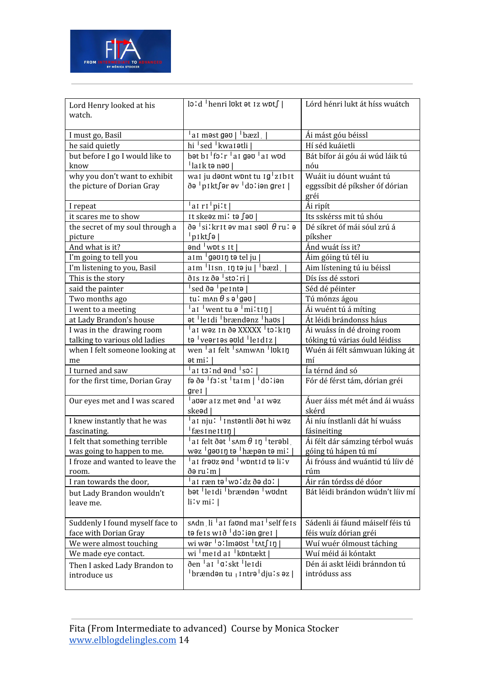

| Lord Henry looked at his<br>watch. | $\overline{\text{lo'd}}$ <sup>1</sup> henri lukt at 1z wpt $\int$               | Lórd hénri lukt át híss wuátch          |
|------------------------------------|---------------------------------------------------------------------------------|-----------------------------------------|
| I must go, Basil                   | $\frac{1}{2}$ ai məst gə $\sigma$   $\frac{1}{2}$ bæzl                          | Ái mást góu béissl                      |
| he said quietly                    | hi <sup>1</sup> sed <sup>1</sup> kwa 1 atli                                     | Hí séd kuáietli                         |
| but before I go I would like to    | bət bi <sup>1</sup> folr <sup>1</sup> ai gəv <sup>1</sup> ai wud                | Bát bífor ái góu ái wúd láik tú         |
| know                               | laik tə nəv                                                                     | nóu                                     |
| why you don't want to exhibit      | wai ju dovnt wont tu ig <sup>1</sup> zibit                                      | Wuáit iu dóunt wuánt tú                 |
| the picture of Dorian Gray         | ðə <sup>I</sup> pikt∫ər əv <sup>I</sup> doliən grei                             | eggssíbit dé píksher óf dórian<br>gréi  |
| I repeat                           | ai ri <sup>1</sup> piːt                                                         | Ái ripít                                |
| it scares me to show               | It skeaz mi∶ta ∫ao                                                              | Its sskérss mit tú shóu                 |
| the secret of my soul through a    | ðə $^1$ silkrit əv mai sə $v1$ $\theta$ rul ə                                   | Dé síkret óf mái sóul zrú á             |
| picture                            | p1kt∫ə                                                                          | píksher                                 |
| And what is it?                    | $end$ wpts It                                                                   | Ánd wuát íss it?                        |
| I'm going to tell you              | aim <sup>I</sup> gəviŋ tə tel ju                                                | Áim góing tú tél iu                     |
| I'm listening to you, Basil        | $a$ Im $\frac{1}{1}$ Isn Inte ju $\frac{1}{1}$ bæzl                             | Aim lístening tú iu béissl              |
| This is the story                  | ðis iz ðə <sup> </sup> stoːri                                                   | Dís íss dé sstori                       |
| said the painter                   | sed ðə <sup>1</sup> pe i ntə                                                    | Séd dé péinter                          |
| Two months ago                     | tu: mʌn $\theta$ s ə $\frac{1}{2}$ gəʊ                                          | Tú mónzs ágou                           |
| I went to a meeting                | aI went tu ə <sup>1</sup> miːtɪŋ                                                | Ái wuént tú á míting                    |
| at Lady Brandon's house            | at leidi brændanz havs                                                          | Át léidi brándonss háus                 |
| I was in the drawing room          | <sup>1</sup> a1 wəz 1n ðə XXXXX <sup>1</sup> tɔːkɪŋ                             | Ái wuáss ín dé droing room              |
| talking to various old ladies      | tə <sup>I</sup> veəriəs əvid <sup>I</sup> leidiz                                | tóking tú várias óuld léidiss           |
| when I felt someone looking at     | wen at felt samwan lukin                                                        | Wuén ái félt sámwuan lúking át          |
| me                                 | ət miː l                                                                        | mí                                      |
| I turned and saw                   | $\frac{1}{2}$ al t $3!$ nd $\theta$ nd $\frac{1}{2}$ sol                        | la térnd ánd só                         |
| for the first time, Dorian Gray    | fə ðə $1$ f $3$ 'st $1$ taim $1$ $\overline{d}$ $3$ 'iən<br>grel                | Fór dé férst tám, dórian gréi           |
| Our eyes met and I was scared      | $^{\mathsf{I}}$ avər a i z met ənd $^{\mathsf{I}}$ a i wəz<br>ske <sub>ad</sub> | Áuer áiss mét mét ánd ái wuáss<br>skérd |
| I knew instantly that he was       | <sup>l</sup> a1 nju <sup>r 1</sup> 1nstəntli ðət hi wəz                         | Ái níu ínstlanli dát hí wuáss           |
| fascinating.                       | <sup> </sup> fæsineitiŋ                                                         | fásineiting                             |
| I felt that something terrible     | ai felt ðat $\frac{1}{3}$ s $\tan \theta$ in $\frac{1}{3}$ terabl               | Ái félt dár sámzing térbol wuás         |
| was going to happen to me.         | wəz <sup>1</sup> gəvin tə <sup>1</sup> hæpən tə mi!                             | góing tú hápen tú mí                    |
| I froze and wanted to leave the    | a1 frəʊz ənd 'wɒnt1d tə liːv                                                    | Ai fróuss ánd wuántid tú líiv dé        |
| room.                              | ðə ru : m                                                                       | rúm                                     |
| I ran towards the door,            | ai ræn t $\theta$ <sup>1</sup> wo!dz ð $\theta$ do!                             | Áir rán tórdss dé dóor                  |
| but Lady Brandon wouldn't          | bət leidi brændən wudnt                                                         | Bát léidi brándon wúdn't líiv mí        |
| leave me.                          | $\liminf$                                                                       |                                         |
| Suddenly I found myself face to    | s^dn li at faund mai self feis                                                  | Sádenli ái fáund máiself féis tú        |
| face with Dorian Gray              | tə fels wið <sup>1</sup> doliən grei                                            | féis wuíz dórian gréi                   |
| We were almost touching            | wi wər <sup> </sup> o∶lməʊst <sup> </sup> t∧t∫ɪŋ                                | Wuí wuér ólmoust táching                |
| We made eye contact.               | wi meid ai kontækt                                                              | Wuí méid ái kóntakt                     |
| Then I asked Lady Brandon to       | ðen <sup>l</sup> ar <sup>l</sup> ølskt llerdi                                   | Dén ái askt léidi bránndon tú           |
| introduce us                       | <sup> </sup> brændən tu <sub> </sub> Intrə <sup> </sup> dju ːs əz               | intróduss ass                           |
|                                    |                                                                                 |                                         |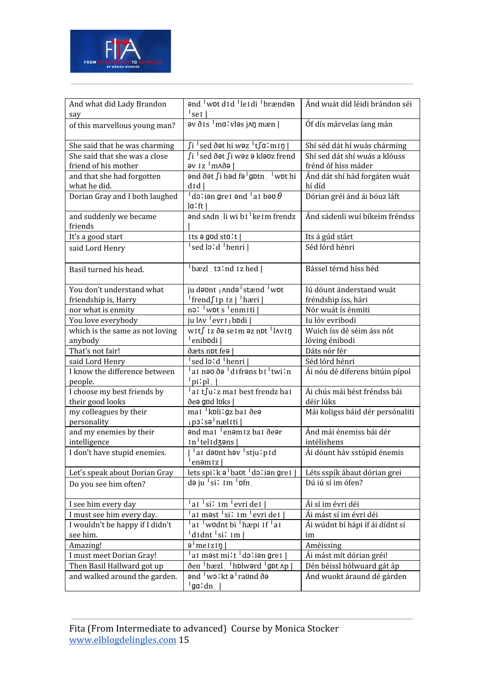

| And what did Lady Brandon<br>say         | and wpt did leidi brændan<br>$^{\dagger}$ sei                                                      | Ánd wuát díd léidi brándon séi   |
|------------------------------------------|----------------------------------------------------------------------------------------------------|----------------------------------|
| of this marvellous young man?            | $\frac{1}{2}$ av $\delta$ is $\frac{1}{2}$ ma: vlas j $\Lambda$ n mæn                              | Óf dís márvelas íang mán         |
| She said that he was charming            | $\overline{\int$ i $\overline{\phantom{a}}$ sed ðət hi wəz $\overline{\phantom{a}}$ t $\int$ aːmɪŋ | Shí séd dát hí wuás chárming     |
| She said that she was a close            | Ji <sup>1</sup> sed ðət ∫i wəz ə kləʊz frend                                                       | Shí sed dát shí wuás a klóuss    |
| friend of his mother                     | əv Iz <sup>∣</sup> m∧ðə∣                                                                           | frénd óf híss máder              |
| and that she had forgotten               | ənd ðət ∫i həd fə <sup>1</sup> gptn vot hi                                                         | Ánd dát shí hád forgáten wuát    |
| what he did.                             | $d$ Id                                                                                             | hí díd                           |
| Dorian Gray and I both laughed           | dolian gret and $\frac{1}{2}$ at bay $\theta$<br>$l$ a: ft                                         | Dórian gréi ánd ái bóuz láft     |
| and suddenly we became<br>friends        | and sAdn li wi b1 ke1m frendz                                                                      | Ánd sádenli wuí bíkeim fréndss   |
| It's a good start                        | Its a god sta:t                                                                                    | Its á gúd stárt                  |
| said Lord Henry                          | sed lo:d <sup> </sup> henri                                                                        | Séd lórd hénri                   |
| Basil turned his head.                   | $\frac{1}{2}$ bæzl t3:nd Iz hed                                                                    | Bássel térnd híss héd            |
| You don't understand what                | ju dəvnt <sub>I</sub> Andə <sup>I</sup> stænd <sup>I</sup> wpt                                     | Iú dóunt ánderstand wuát         |
| friendship is, Harry                     | $\left  \text{frendfipiz} \right  \left  \text{hæri} \right $                                      | fréndship íss, hári              |
| nor what is enmity                       | no: wpts enmiti                                                                                    | Nór wuát ís énmiti               |
| You love everybody                       | ju l $\sqrt{\sqrt{2}}$ evr $\sqrt{2}$ j bodi                                                       | Iu lóv evribodi                  |
| which is the same as not loving          | wit∫ iz ðə seim əz nɒt <sup> </sup> l∧viŋ                                                          | Wuich íss dé séim áss nót        |
| anybody                                  | <sup> </sup> enibpdi                                                                               | lóving énibodi                   |
| That's not fair!                         | ðæts not fea                                                                                       | Dáts nór fér                     |
| said Lord Henry                          | sed lo:d 'henri                                                                                    | Séd lórd hénri                   |
| I know the difference between<br>people. | ai neu de <sup>1</sup> difrens bi <sup>I</sup> twi'n<br>$ $ pi:pl                                  | Ái nóu dé díferens bitúin pípol  |
| I choose my best friends by              | al tsu'z mai best frendz bai                                                                       | Ái chús mái bést fréndss bái     |
| their good looks                         | de agod loks                                                                                       | déir lúks                        |
| my colleagues by their<br>personality    | mai <sup> </sup> kpli: gz bai ðeə<br><sub> </sub> p3ːsəˈnælɪti                                     | Mái koligss báid dér persónaliti |
| and my enemies by their                  | and mai <sup>1</sup> enamiz bai ðear                                                               | Ánd mái énemiss bái dér          |
| intelligence                             | $\ln$ <sup><math>\lceil</math></sup> tel $\lg$ dz $\ln$                                            | intélishens                      |
| I don't have stupid enemies.             | al deunt hev stjulpid<br>enomiz                                                                    | Ái dóunt háv sstúpid énemis      |
| Let's speak about Dorian Gray            | lets spilk $\theta$ baut dolien grei                                                               | Léts sspík ábaut dórian grei     |
| Do you see him often?                    | $d$ ə ju $\frac{1}{s}$ i: 1m $\frac{1}{s}$ pfn                                                     | Dú iú sí im ófen?                |
| I see him every day                      | a <sub>I</sub> 'si' Im 'evri de I                                                                  | Ái sí im évri déi                |
| I must see him every day.                | ai məst si: im <sup>1</sup> evri dei                                                               | Ái mást sí im évri déi           |
| I wouldn't be happy if I didn't          | $aI$ wodnt bi hæpi If al                                                                           | Ái wúdnt bí hápi íf ái dídnt sí  |
| see him.                                 | $ $ didnt $ $ si: im $ $                                                                           | im                               |
| Amazing!                                 | $\theta$ <sup>l</sup> me $ z$ i $\eta$                                                             | Améissing                        |
| I must meet Dorian Gray!                 | al məst milt dəliən grel                                                                           | Ái mást mít dórian gréi!         |
| Then Basil Hallward got up               | den bæzl hplwerd gpt Ap                                                                            | Dén béissl hólwuard gát áp       |
| and walked around the garden.            | and wolkt a raund ða                                                                               | Ánd wuokt áraund dé gárden       |
|                                          | 'gaːdn                                                                                             |                                  |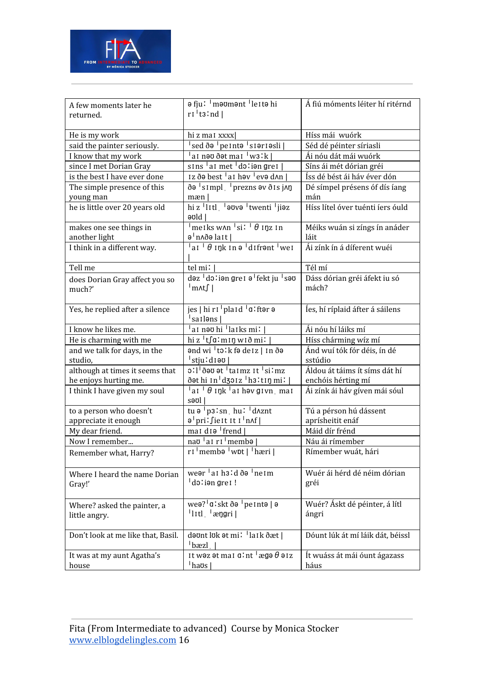

| A few moments later he             | a fju! maomant letta hi<br>$ri$ <sup><math>\frac{1}{2}</math></sup> t <sub>3</sub> :nd $\frac{1}{2}$ | Á fiú móments léiter hí ritérnd  |
|------------------------------------|------------------------------------------------------------------------------------------------------|----------------------------------|
| returned.                          |                                                                                                      |                                  |
| He is my work                      | hi z mat xxxx                                                                                        | Híss mái wuórk                   |
| said the painter seriously.        | sed ðə <sup> </sup> pe1ntə <sup> </sup> s1ər1əsli                                                    | Séd dé péinter síriasli          |
| I know that my work                | ai nəv ðət mai <sup>1</sup> w3lk                                                                     | Ái nóu dát mái wuórk             |
| since I met Dorian Gray            | $\sin s$ at met $\sin s$ ian gret                                                                    | Síns ái mét dórian gréi          |
| is the best I have ever done       | Iz ðə best <sup>1</sup> a1 həv <sup>1</sup> evə d^n                                                  | Íss dé bést ái háv éver dón      |
| The simple presence of this        | ðə <sup>1</sup> simpl <sup>1</sup> prezns əv ðis j∧n                                                 | Dé símpel présens óf dís íang    |
| young man                          | mæn                                                                                                  | mán                              |
| he is little over 20 years old     | hi z <sup>1</sup> litl <sup>1</sup> avva <sup>1</sup> twenti <sup>1</sup> jiaz                       | Híss lítel óver tuénti íers óuld |
|                                    | əʊld l                                                                                               |                                  |
| makes one see things in            | $\frac{1}{2}$ meiks w $\lambda$ n $\frac{1}{2}$ si: $\frac{1}{2}$ $\theta$ inz in                    | Méiks wuán si zíngs ín anáder    |
| another light                      | ə <sup>1</sup> n∧ðə laɪt                                                                             | láit                             |
| I think in a different way.        | $\vert$ ai $\vert$ $\theta$ ink in $\overline{e}$ difrant $\overline{\vert}$ wei                     | Ái zínk ín á díferent wuéi       |
| Tell me                            | tel mi!                                                                                              | Tél mí                           |
| does Dorian Gray affect you so     | dəz <sup>1</sup> dəliən grel ə <sup>1</sup> fekt ju <sup>1</sup> səv                                 | Dáss dórian gréi áfekt iu só     |
| much?'                             | $\lfloor m \wedge t \rfloor$                                                                         | mách?                            |
|                                    |                                                                                                      |                                  |
| Yes, he replied after a silence    | jes   hi r1   plaid   q: ftər ə                                                                      | les, hí ríplaid áfter á sáilens  |
|                                    | <sup> </sup> sa I ləns                                                                               |                                  |
| I know he likes me.                | ai nəv hi <sup>1</sup> laiks mi:                                                                     | Ái nóu hí láiks mí               |
| He is charming with me             | hi z $\frac{1}{2}$ t $\int a$ : mi n wið mi:                                                         | Híss chárming wíz mí             |
| and we talk for days, in the       | and wi tolk fadeiz   In da                                                                           | Ánd wuí tók fór déis, ín dé      |
| studio,                            | $ $ stju $:$ d 1 ə $\sigma$                                                                          | sstúdio                          |
| although at times it seems that    | 0'l <sup>1</sup> ð au at <sup>1</sup> ta 1 m z 1 t <sup>1</sup> si 'm z                              | Áldou át táims ít síms dát hí    |
| he enjoys hurting me.              | ðət hi 1n <sup>1</sup> dzo1z <sup>1</sup> h3:t1ŋ mi:                                                 | enchóis hérting mí               |
| I think I have given my soul       | $\vert$ ai $\vert$ $\theta$ iŋk $\vert$ ai həv givn mai<br>səʊl                                      | Ái zínk ái háv gíven mái sóul    |
| to a person who doesn't            | tu $\theta$ p3'sn hu' d $\Delta$ znt                                                                 | Tú a pérson hú dássent           |
| appreciate it enough               | a pri: fiest it i nnf                                                                                | aprísheitit enáf                 |
| My dear friend.                    | mai di $\theta$ frend                                                                                | Máid dír frénd                   |
| Now I remember                     | nao ai ri membo                                                                                      | Náu ái rímember                  |
| Remember what, Harry?              | $ri'$ membə $\frac{1}{2}$ wbt $\frac{1}{2}$ hæri $\frac{1}{2}$                                       | Rímember wuát, hári              |
| Where I heard the name Dorian      | wear at h31d da Ineim                                                                                | Wuér ái hérd dé néim dórian      |
| Gray!'                             | dolien grei!                                                                                         | gréi                             |
|                                    |                                                                                                      |                                  |
| Where? asked the painter, a        | wea? <sup>1</sup> a: skt ða <sup>1</sup> pe i nta   a                                                | Wuér? Áskt dé péinter, á lítl    |
| little angry.                      | $ $ litl $ $ ængri                                                                                   | ángri                            |
|                                    |                                                                                                      |                                  |
| Don't look at me like that, Basil. | dəvnt luk ət mi <sup>t l</sup> laik ðæt                                                              | Dóunt lúk át mí láik dát, béissl |
|                                    | $\vert$ bæzl                                                                                         |                                  |
| It was at my aunt Agatha's         | It was at mai $\alpha$ 'nt $\alpha$ ega $\theta$ aiz                                                 | Ít wuáss át mái óunt ágazass     |
| house                              | $\vert$ havs $\vert$                                                                                 | háus                             |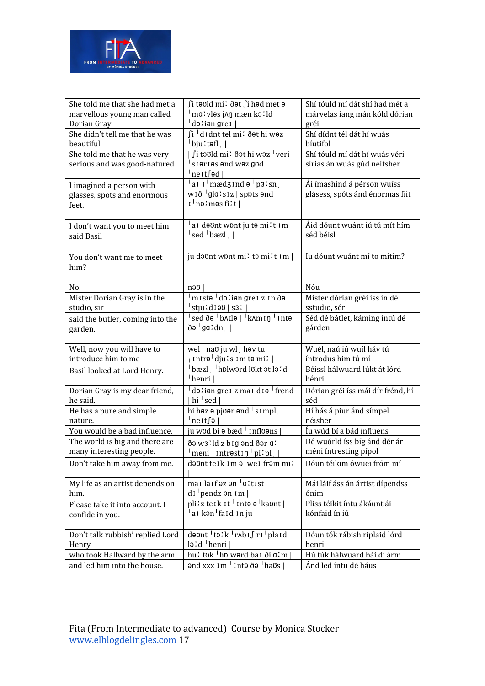

| She told me that she had met a             | ∫i təʊld mi∶ ðət ∫i həd met ə                                    | Shí tóuld mí dát shí had mét a                                |
|--------------------------------------------|------------------------------------------------------------------|---------------------------------------------------------------|
| marvellous young man called                | malvləs jon mæn kolld                                            | márvelas íang mán kóld dórian                                 |
| Dorian Gray                                | doliən gref                                                      | gréi                                                          |
| She didn't tell me that he was             | ∫i <sup>∣</sup> d1dnt tel mi∶ðət hi wəz                          | Shí dídnt tél dát hí wuás                                     |
| beautiful.                                 | † bju∶təfl∫                                                      | bíutifol                                                      |
| She told me that he was very               | ∫i təʊld mi∶ ðət hi wəz <sup>†</sup> veri                        | Shí tóuld mí dát hí wuás véri                                 |
| serious and was good-natured               | sieries end wez god                                              | sírias án wuás gúd neitsher                                   |
|                                            | 'ne1t∫əd  <br>at $I^{\dagger}$ mædzind $\theta^{\dagger}$ p3'sn  |                                                               |
| I imagined a person with                   | $w1\delta$ $ $ gla: $s1z$   spots $\theta$ nd                    | Ái ímashind á pérson wuíss<br>glásess, spóts ánd énormas fiit |
| glasses, spots and enormous<br>feet.       | $1^{\dagger}$ no: məs fi:t                                       |                                                               |
|                                            |                                                                  |                                                               |
| I don't want you to meet him               | ai dəvnt wont ju tə milt im                                      | Áid dóunt wuánt iú tú mít hím                                 |
| said Basil                                 | sed bæzl                                                         | séd béisl                                                     |
|                                            |                                                                  |                                                               |
| You don't want me to meet                  | ju dount wont mi! to mi!t Im                                     | Iu dóunt wuánt mí to mitim?                                   |
| him?                                       |                                                                  |                                                               |
|                                            |                                                                  |                                                               |
| No.                                        | nəu                                                              | Nóu                                                           |
| Mister Dorian Gray is in the               | <u>Imistə Idoliən gret zin ðə</u>                                | Míster dórian gréi íss ín dé                                  |
| studio, sir                                | stju:d1əv   s3:                                                  | sstudio, sér                                                  |
| said the butler, coming into the           | sed ða <sup>1</sup> b^tla   <sup>1</sup> k^m1n <sup>1</sup> 1nta | Séd dé bátlet, káming intú dé                                 |
| garden.                                    | ðə <sup>I</sup> gaːdn                                            | gárden                                                        |
|                                            |                                                                  |                                                               |
| Well, now you will have to                 | wel   nao ju wl hov tu                                           | Wuél, naú iú wuíl háv tú                                      |
| introduce him to me                        | <sub>l</sub> Intrə <sup>i</sup> dju i s 1m tə mi i               | íntrodus him tú mí                                            |
| Basil looked at Lord Henry.                | bæzl hplwerd lukt et lo!d<br><sup> </sup> henri                  | Béissl hálwuard lúkt át lórd                                  |
|                                            | $d$ <sup>1</sup> ion gret z mat dio <sup>1</sup> frend           | hénri                                                         |
| Dorian Gray is my dear friend,<br>he said. | hi $\vert$ sed $\vert$                                           | Dórian gréi íss mái dír frénd, hí<br>séd                      |
| He has a pure and simple                   | hi həz ə pjoər ənd <sup>1</sup> simpl                            | Hí hás á píur ánd símpel                                      |
| nature.                                    | ¦ne1t∫ə                                                          | néisher                                                       |
| You would be a bad influence.              | ju wod bi ə bæd <sup> </sup> Infloans                            | Íu wúd bí a bád ínfluens                                      |
| The world is big and there are             | ðə walld z big ənd ðər al                                        | Dé wuórld íss bíg ánd dér ár                                  |
| many interesting people.                   | meni   Intrəst In   piːpl                                        | méni íntresting pípol                                         |
| Don't take him away from me.               | dəʊnt teɪk ɪm əˈweɪ frəm miː                                     | Dóun téikim ówuei fróm mí                                     |
|                                            |                                                                  |                                                               |
| My life as an artist depends on            | mai laif az an <sup>1</sup> q'tist                               | Mái láif áss án ártist dípendss                               |
| him.                                       | $di$ pendz pn 1m                                                 | ónim                                                          |
| Please take it into account. I             | pli'z teik it <sup>1</sup> intə ə <sup>1</sup> kaönt             | Plíss téikit íntu ákáunt ái                                   |
| confide in you.                            | <sup>1</sup> a1 kən <sup>1</sup> fa1d 1n ju                      | kónfaid ín iú                                                 |
|                                            |                                                                  |                                                               |
| Don't talk rubbish' replied Lord           | deunt to: k rAbif ri plaid                                       | Dóun tók rábish ríplaid lórd                                  |
| Henry                                      | $lo'd$ henri                                                     | henri                                                         |
| who took Hallward by the arm               | hu: tʊk <sup> </sup> hɒlwərd baɪ ði ɑːm                          | Hú túk hálwuard bái dí árm                                    |
| and led him into the house.                | $\theta$ nd xxx 1 m $\theta$ 1 ntə ðə $\theta$ havs              | Ánd led íntu dé háus                                          |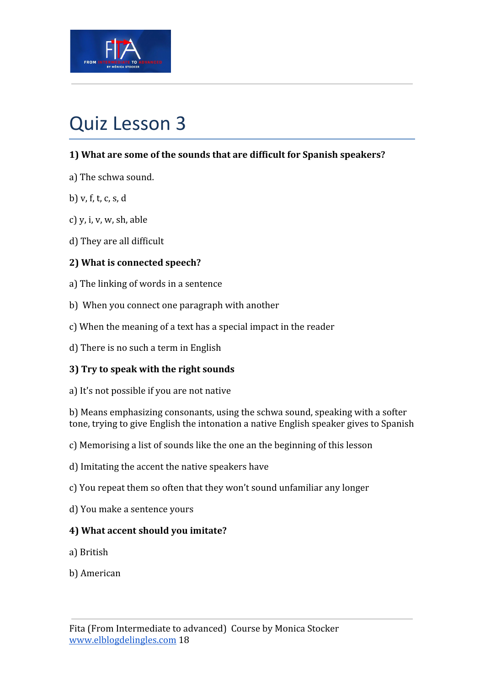

# Quiz Lesson 3

## **1) What are some of the sounds that are difficult for Spanish speakers?**

- a) The schwa sound.
- b) v, f, t, c, s, d
- c) y, i, v, w, sh, able
- d) They are all difficult

## **2) What is connected speech?**

- a) The linking of words in a sentence
- b) When you connect one paragraph with another
- c) When the meaning of a text has a special impact in the reader
- d) There is no such a term in English

## **3) Try to speak with the right sounds**

a) It's not possible if you are not native

b) Means emphasizing consonants, using the schwa sound, speaking with a softer tone, trying to give English the intonation a native English speaker gives to Spanish

- c) Memorising a list of sounds like the one an the beginning of this lesson
- d) Imitating the accent the native speakers have
- c) You repeat them so often that they won't sound unfamiliar any longer
- d) You make a sentence yours

## **4) What accent should you imitate?**

- a) British
- b) American